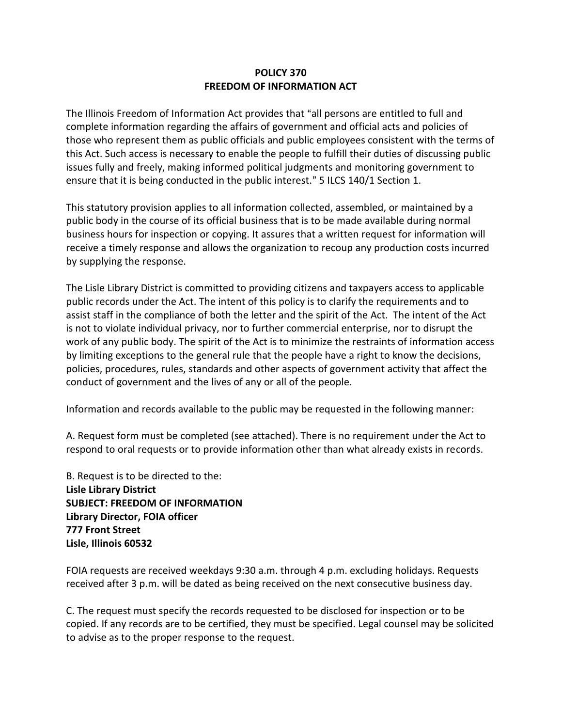## **POLICY 370 FREEDOM OF INFORMATION ACT**

The Illinois Freedom of Information Act provides that "all persons are entitled to full and complete information regarding the affairs of government and official acts and policies of those who represent them as public officials and public employees consistent with the terms of this Act. Such access is necessary to enable the people to fulfill their duties of discussing public issues fully and freely, making informed political judgments and monitoring government to ensure that it is being conducted in the public interest." 5 ILCS 140/1 Section 1.

This statutory provision applies to all information collected, assembled, or maintained by a public body in the course of its official business that is to be made available during normal business hours for inspection or copying. It assures that a written request for information will receive a timely response and allows the organization to recoup any production costs incurred by supplying the response.

The Lisle Library District is committed to providing citizens and taxpayers access to applicable public records under the Act. The intent of this policy is to clarify the requirements and to assist staff in the compliance of both the letter and the spirit of the Act. The intent of the Act is not to violate individual privacy, nor to further commercial enterprise, nor to disrupt the work of any public body. The spirit of the Act is to minimize the restraints of information access by limiting exceptions to the general rule that the people have a right to know the decisions, policies, procedures, rules, standards and other aspects of government activity that affect the conduct of government and the lives of any or all of the people.

Information and records available to the public may be requested in the following manner:

A. Request form must be completed (see attached). There is no requirement under the Act to respond to oral requests or to provide information other than what already exists in records.

B. Request is to be directed to the: **Lisle Library District SUBJECT: FREEDOM OF INFORMATION Library Director, FOIA officer 777 Front Street Lisle, Illinois 60532**

FOIA requests are received weekdays 9:30 a.m. through 4 p.m. excluding holidays. Requests received after 3 p.m. will be dated as being received on the next consecutive business day.

C. The request must specify the records requested to be disclosed for inspection or to be copied. If any records are to be certified, they must be specified. Legal counsel may be solicited to advise as to the proper response to the request.